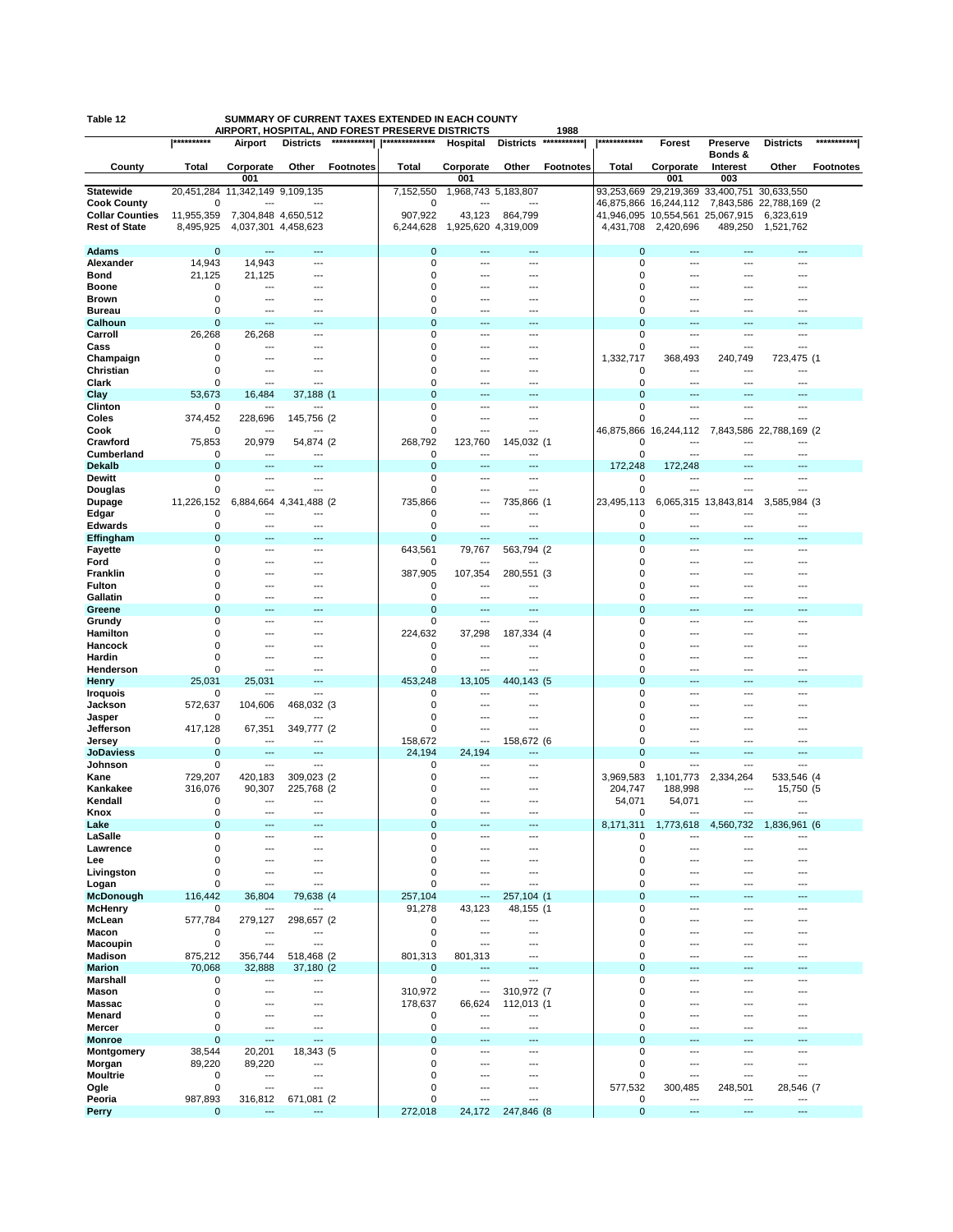|  | Table 1: |  | ٠ |
|--|----------|--|---|
|  |          |  |   |

## **Table 12 SUMMARY OF CURRENT TAXES EXTENDED IN EACH COUNTY AIRPORT, HOSPITAL, AND FOREST PRESERVE DISTRICTS 1988**

|                                    | **********         | יייי<br>Airport                                      | <b>Districts</b>         | ורו וט∟וש<br>*********** | ulivi<br>**************    | 11 U I U<br>Hospital            | <b>Districts</b>   | JU.<br>*********** | ************                  | Forest                                  | Preserve             | <b>Districts</b>               | ***********      |
|------------------------------------|--------------------|------------------------------------------------------|--------------------------|--------------------------|----------------------------|---------------------------------|--------------------|--------------------|-------------------------------|-----------------------------------------|----------------------|--------------------------------|------------------|
|                                    |                    |                                                      |                          |                          |                            |                                 |                    |                    |                               |                                         | Bonds &              |                                |                  |
| County                             | Total              | Corporate                                            | Other                    | <b>Footnotes</b>         | Total                      | Corporate                       | Other              | <b>Footnotes</b>   | Total                         | Corporate                               | Interest             | Other                          | <b>Footnotes</b> |
| <b>Statewide</b>                   | 20,451,284         | 001<br>11,342,149 9,109,135                          |                          |                          | 7,152,550                  | 001<br>1,968,743 5,183,807      |                    |                    |                               | 001<br>29,219,369 33,400,751 30,633,550 | 003                  |                                |                  |
| <b>Cook County</b>                 | 0                  |                                                      |                          |                          | 0                          |                                 |                    |                    | 93,253,669<br>46,875,866      | 16,244,112                              |                      | 7,843,586 22,788,169 (2        |                  |
| <b>Collar Counties</b>             | 11,955,359         | 7,304,848 4,650,512                                  |                          |                          | 907,922                    | 43,123                          | 864,799            |                    | 41,946,095                    | 10,554,561                              | 25,067,915           | 6,323,619                      |                  |
| <b>Rest of State</b>               | 8,495,925          | 4,037,301 4,458,623                                  |                          |                          | 6,244,628                  | 1,925,620 4,319,009             |                    |                    | 4,431,708                     | 2,420,696                               | 489,250              | 1,521,762                      |                  |
| <b>Adams</b>                       | 0                  | $\overline{\phantom{a}}$                             | $\overline{\phantom{a}}$ |                          | $\mathbf 0$                | $---$                           | ---                |                    | $\mathbf 0$                   | ---                                     |                      | ---                            |                  |
| Alexander                          | 14,943             | 14,943                                               | ---                      |                          | 0                          | ---                             | ---                |                    | $\mathbf 0$                   | ---                                     | ---                  | ---                            |                  |
| Bond                               | 21,125             | 21,125                                               | ---                      |                          | 0                          | ---                             | ---                |                    | $\mathbf 0$                   | ---                                     | ---                  | ---                            |                  |
| <b>Boone</b>                       | 0                  | ---                                                  |                          |                          | $\mathbf 0$                | ---                             | ---                |                    | $\mathbf 0$                   |                                         |                      |                                |                  |
| Brown<br><b>Bureau</b>             | 0<br>0             | ---<br>---                                           |                          |                          | $\mathbf 0$<br>0           |                                 | ---<br>---         |                    | $\mathbf 0$<br>$\mathbf 0$    |                                         |                      |                                |                  |
| Calhoun                            | $\mathbf 0$        | ---                                                  | ---                      |                          | $\mathbf 0$                | ---                             | ---                |                    | $\mathbf 0$                   | ---                                     | ---                  | ---                            |                  |
| Carroll                            | 26,268             | 26,268                                               | $\overline{a}$           |                          | $\mathbf 0$                | $---$                           | ---                |                    | 0                             | ---                                     | ---                  | ---                            |                  |
| Cass                               | 0                  | ---                                                  | ---                      |                          | 0                          | ---                             | ---                |                    | 0                             | ---                                     | ---                  | ---                            |                  |
| Champaign<br>Christian             | 0<br>0             | $\overline{\phantom{a}}$<br>---                      | ---                      |                          | $\mathbf 0$<br>$\mathbf 0$ | ---<br>$---$                    | ---<br>---         |                    | 1,332,717<br>0                | 368,493<br>---                          | 240,749<br>---       | 723,475 (1<br>---              |                  |
| Clark                              | 0                  | ---                                                  | ---                      |                          | $\mathbf 0$                | ---                             | ---                |                    | $\mathbf 0$                   | ---                                     | ---                  | ---                            |                  |
| Clay                               | 53,673             | 16,484                                               | 37,188 (1                |                          | $\mathbf 0$                |                                 |                    |                    | $\overline{0}$                |                                         |                      |                                |                  |
| Clinton                            | 0                  | ---                                                  | ---                      |                          | 0                          | ---                             | ---                |                    | 0                             | ---                                     | ---                  | ---                            |                  |
| Coles<br>Cook                      | 374,452<br>0       | 228,696<br>---                                       | 145,756 (2<br>---        |                          | 0<br>0                     | ---<br>---                      | ---<br>---         |                    | 0<br>46,875,866               | 16,244,112                              |                      | ---<br>7,843,586 22,788,169 (2 |                  |
| Crawford                           | 75,853             | 20,979                                               | 54,874 (2)               |                          | 268,792                    | 123,760                         | 145,032 (1         |                    | $\mathbf 0$                   |                                         |                      |                                |                  |
| Cumberland                         | 0                  | $\overline{\phantom{a}}$                             | $---$                    |                          | 0                          | $---$                           | ---                |                    | 0                             | ---                                     | ---                  | ---                            |                  |
| <b>Dekalb</b>                      | 0                  | $\overline{\phantom{a}}$                             | ---                      |                          | $\mathbf 0$                | $\overline{a}$                  | ---                |                    | 172,248                       | 172,248                                 | ---                  | ---                            |                  |
| <b>Dewitt</b>                      | 0<br>0             | ---<br>---                                           | ---<br>$\overline{a}$    |                          | $\mathbf 0$<br>$\mathbf 0$ | ---<br>---                      | ---<br>---         |                    | 0<br>0                        | ---<br>---                              | <br>---              | ---<br>---                     |                  |
| Douglas<br>Dupage                  | 11,226,152         | 6,884,664                                            | 4,341,488 (2)            |                          | 735,866                    | ---                             | 735,866 (1         |                    | 23,495,113                    |                                         | 6,065,315 13,843,814 | 3,585,984 (3                   |                  |
| Edgar                              | 0                  | ---                                                  | ---                      |                          | 0                          | ---                             | ---                |                    | 0                             | ---                                     | ---                  | ---                            |                  |
| Edwards                            | $\mathbf 0$        | ---                                                  | $---$                    |                          | 0                          | $---$                           | ---                |                    | 0                             | ---                                     |                      | ---                            |                  |
| Effingham<br><b>Fayette</b>        | $\mathbf 0$<br>0   | $\overline{\phantom{a}}$<br>$\overline{\phantom{a}}$ | $---$<br>$---$           |                          | 0<br>643,561               | ---<br>79,767                   | ---<br>563,794 (2) |                    | $\mathbf 0$<br>0              | ---<br>---                              | ---<br>---           | ---<br>---                     |                  |
| Ford                               | 0                  | ---                                                  | ---                      |                          | 0                          | $\overline{\phantom{a}}$        | ---                |                    | 0                             | ---                                     | ---                  | ---                            |                  |
| Franklin                           | 0                  | ---                                                  | ---                      |                          | 387,905                    | 107,354                         | 280,551 (3         |                    | 0                             | ---                                     | ---                  | ---                            |                  |
| Fulton                             | 0                  | ---                                                  | $\overline{a}$           |                          | 0                          | ---                             | ---                |                    | $\mathbf 0$                   |                                         | ---                  |                                |                  |
| Gallatin<br>Greene                 | 0<br>$\mathbf 0$   | ---                                                  | ---                      |                          | 0<br>$\overline{0}$        | ---                             | ---                |                    | $\mathbf 0$<br>$\overline{0}$ | ---                                     | ---                  | ---                            |                  |
| Grundy                             | 0                  | ---                                                  | ---                      |                          | 0                          | ---                             | ---                |                    | $\mathbf 0$                   | ---                                     | ---                  | ---                            |                  |
| Hamilton                           | 0                  | ---                                                  | ---                      |                          | 224,632                    | 37,298                          | 187,334 (4         |                    | $\mathbf 0$                   | ---                                     | ---                  | ---                            |                  |
| Hancock                            | $\Omega$           | ---                                                  | ---                      |                          | 0                          | $---$                           | ---                |                    | $\mathbf 0$                   | ---                                     | ---                  | ---                            |                  |
| Hardin                             | 0<br>0             | ---<br>$\overline{\phantom{a}}$                      | ---<br>$---$             |                          | 0<br>0                     | ---<br>$---$                    | ---<br>---         |                    | 0<br>$\mathbf 0$              | ---<br>---                              | ---<br>---           | ---<br>---                     |                  |
| Henderson<br>Henry                 | 25,031             | 25,031                                               | ---                      |                          | 453,248                    | 13,105                          | 440,143 (5         |                    | $\mathbf 0$                   |                                         |                      |                                |                  |
| Iroquois                           | 0                  |                                                      | ---                      |                          | 0                          | ---                             | ---                |                    | $\mathbf 0$                   |                                         |                      |                                |                  |
| Jackson                            | 572,637            | 104,606                                              | 468,032 (3               |                          | 0                          | ---                             | ---                |                    | 0                             | ---                                     | ---                  | ---                            |                  |
| Jasper<br>Jefferson                | 0<br>417,128       | 67,351                                               | 349,777 (2               |                          | 0<br>$\mathbf 0$           | ---<br>$---$                    | ---<br>---         |                    | 0<br>$\mathbf 0$              | ---                                     | ---                  | ---<br>---                     |                  |
| Jersey                             | 0                  | $\overline{\phantom{a}}$                             | $---$                    |                          | 158,672                    | ---                             | 158,672 (6         |                    | 0                             | ---                                     | ---                  | ---                            |                  |
| <b>JoDaviess</b>                   | 0                  | ---                                                  | ---                      |                          | 24,194                     | 24,194                          | ---                |                    | $\mathbf 0$                   | ---                                     | ---                  | ---                            |                  |
| Johnson                            | 0                  | ---                                                  | $---$                    |                          | 0                          | $---$                           | ---                |                    | $\mathbf 0$                   | ---                                     | ---                  | ---                            |                  |
| Kane<br>Kankakee                   | 729,207<br>316,076 | 420,183<br>90,307                                    | 309,023 (2<br>225,768 (2 |                          | 0<br>0                     | ---                             | ---<br>---         |                    | 3,969,583<br>204,747          | 1,101,773<br>188,998                    | 2,334,264<br>---     | 533,546 (4<br>15,750 (5        |                  |
| Kendall                            | 0                  |                                                      |                          |                          | 0                          |                                 |                    |                    | 54,071                        | 54,071                                  | ---                  |                                |                  |
| Knox                               | 0                  | ---                                                  | ---                      |                          | 0                          | ---                             | ---                |                    | 0                             |                                         | ---                  | ---                            |                  |
| Lake                               | $\Omega$           | $\overline{a}$                                       | $---$                    |                          | $\Omega$                   | $---$                           | $---$              |                    | 8,171,311                     | 1,773,618                               | 4,560,732            | 1,836,961 (6                   |                  |
| LaSalle<br>Lawrence                | 0<br>0             | ---<br>$\overline{\phantom{a}}$                      | ---<br>---               |                          | 0<br>0                     | ---                             | ---<br>---         |                    | 0<br>$\mathbf 0$              | ---                                     | ---<br>---           | ---<br>---                     |                  |
| Lee                                | 0                  | ---                                                  | ---                      |                          | 0                          | ---                             | ---                |                    | 0                             | ---                                     | ---                  | ---                            |                  |
| Livingston                         | 0                  | ---                                                  | ---                      |                          | 0                          | ---                             | ---                |                    | $\mathbf 0$                   | ---                                     | ---                  | ---                            |                  |
| Logan                              | 0<br>116,442       | ---<br>36,804                                        | ---                      |                          | $\mathbf 0$<br>257,104     | ---<br>$\overline{\phantom{a}}$ | ---<br>257,104 (1  |                    | $\mathbf 0$<br>$\mathbf 0$    | ---                                     | ---<br>---           | ---<br>---                     |                  |
| <b>McDonough</b><br><b>McHenry</b> | 0                  | ---                                                  | 79,638 (4<br>---         |                          | 91,278                     | 43,123                          | 48,155 (1          |                    | $\mathbf 0$                   | ---                                     | ---                  | ---                            |                  |
| McLean                             | 577,784            | 279,127                                              | 298,657 (2               |                          | 0                          | ---                             | ---                |                    | 0                             | ---                                     | ---                  | ---                            |                  |
| Macon                              | 0                  | $\overline{\phantom{a}}$                             | ---                      |                          | 0                          | ---                             | ---                |                    | $\mathbf 0$                   | ---                                     | ---                  | ---                            |                  |
| <b>Macoupin</b>                    | 0                  | $\overline{\phantom{a}}$                             | ---                      |                          | 0                          | ---                             | ---<br>---         |                    | $\mathbf 0$                   | ---<br>---                              | ---<br>---           | ---<br>---                     |                  |
| <b>Madison</b><br><b>Marion</b>    | 875,212<br>70,068  | 356,744<br>32,888                                    | 518,468 (2<br>37,180 (2) |                          | 801,313<br>0               | 801,313<br>---                  | $---$              |                    | $\mathbf 0$<br>$\mathbf 0$    | ---                                     | ---                  | ---                            |                  |
| <b>Marshall</b>                    | 0                  | ---                                                  | ---                      |                          | 0                          | ---                             | ---                |                    | $\mathbf 0$                   | ---                                     | ---                  | ---                            |                  |
| Mason                              | 0                  | ---                                                  | ---                      |                          | 310,972                    | ---                             | 310,972 (7         |                    | $\mathbf 0$                   | ---                                     | ---                  | ---                            |                  |
| <b>Massac</b>                      | 0                  | ---                                                  | ---                      |                          | 178,637                    | 66,624                          | 112,013 (1         |                    | $\mathbf 0$                   | ---                                     | ---                  | ---                            |                  |
| Menard<br>Mercer                   | 0<br>0             | ---<br>---                                           | ---<br>---               |                          | 0<br>0                     | ---<br>---                      | ---<br>---         |                    | $\mathbf 0$<br>$\mathbf 0$    | ---<br>---                              | ---<br>---           | ---<br>---                     |                  |
| <b>Monroe</b>                      | $\mathbf 0$        | $\overline{a}$                                       | $\overline{a}$           |                          | $\mathbf 0$                | $---$                           | ---                |                    | $\mathbf 0$                   | ---                                     | ---                  | ---                            |                  |
| Montgomery                         | 38,544             | 20,201                                               | 18,343 (5                |                          | 0                          | $---$                           | ---                |                    | $\mathbf 0$                   | $---$                                   | ---                  | $\overline{\phantom{a}}$       |                  |
| Morgan                             | 89,220             | 89,220<br>$\overline{\phantom{a}}$                   | ---<br>$\overline{a}$    |                          | 0<br>$\mathbf 0$           | $---$<br>---                    | ---<br>---         |                    | $\mathbf 0$<br>$\mathbf 0$    | ---<br>---                              | ---<br>---           | ---<br>---                     |                  |
| <b>Moultrie</b><br>Ogle            | 0<br>0             | ---                                                  | ---                      |                          | $\mathbf 0$                | ---                             | ---                |                    | 577,532                       | 300,485                                 | 248,501              | 28,546 (7                      |                  |
| Peoria                             | 987,893            | 316,812                                              | 671,081 (2               |                          | 0                          | ---                             | ---                |                    | 0                             | ---                                     | ---                  | $\overline{\phantom{a}}$       |                  |
| Perry                              | $\mathbf{0}$       | ---                                                  | ---                      |                          | 272,018                    | 24,172                          | 247,846 (8         |                    | $\mathbf 0$                   | ---                                     | ---                  | $\overline{\phantom{a}}$       |                  |